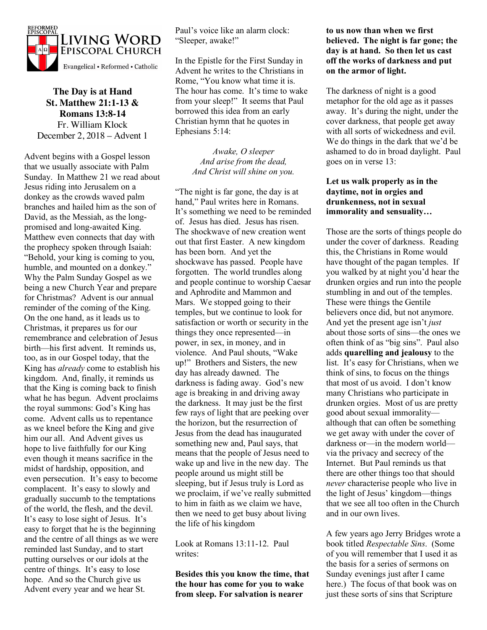

**The Day is at Hand St. Matthew 21:1-13 & Romans 13:8-14** Fr. William Klock December 2, 2018 – Advent 1

Advent begins with a Gospel lesson that we usually associate with Palm Sunday. In Matthew 21 we read about Jesus riding into Jerusalem on a donkey as the crowds waved palm branches and hailed him as the son of David, as the Messiah, as the longpromised and long-awaited King. Matthew even connects that day with the prophecy spoken through Isaiah: "Behold, your king is coming to you, humble, and mounted on a donkey." Why the Palm Sunday Gospel as we being a new Church Year and prepare for Christmas? Advent is our annual reminder of the coming of the King. On the one hand, as it leads us to Christmas, it prepares us for our remembrance and celebration of Jesus birth—his first advent. It reminds us, too, as in our Gospel today, that the King has *already* come to establish his kingdom. And, finally, it reminds us that the King is coming back to finish what he has begun. Advent proclaims the royal summons: God's King has come. Advent calls us to repentance as we kneel before the King and give him our all. And Advent gives us hope to live faithfully for our King even though it means sacrifice in the midst of hardship, opposition, and even persecution. It's easy to become complacent. It's easy to slowly and gradually succumb to the temptations of the world, the flesh, and the devil. It's easy to lose sight of Jesus. It's easy to forget that he is the beginning and the centre of all things as we were reminded last Sunday, and to start putting ourselves or our idols at the centre of things. It's easy to lose hope. And so the Church give us Advent every year and we hear St.

Paul's voice like an alarm clock: "Sleeper, awake!"

In the Epistle for the First Sunday in Advent he writes to the Christians in Rome, "You know what time it is. The hour has come. It's time to wake from your sleep!" It seems that Paul borrowed this idea from an early Christian hymn that he quotes in Ephesians 5:14:

> *Awake, O sleeper And arise from the dead, And Christ will shine on you.*

"The night is far gone, the day is at hand," Paul writes here in Romans. It's something we need to be reminded of. Jesus has died. Jesus has risen. The shockwave of new creation went out that first Easter. A new kingdom has been born. And yet the shockwave has passed. People have forgotten. The world trundles along and people continue to worship Caesar and Aphrodite and Mammon and Mars. We stopped going to their temples, but we continue to look for satisfaction or worth or security in the things they once represented—in power, in sex, in money, and in violence. And Paul shouts, "Wake up!" Brothers and Sisters, the new day has already dawned. The darkness is fading away. God's new age is breaking in and driving away the darkness. It may just be the first few rays of light that are peeking over the horizon, but the resurrection of Jesus from the dead has inaugurated something new and, Paul says, that means that the people of Jesus need to wake up and live in the new day. The people around us might still be sleeping, but if Jesus truly is Lord as we proclaim, if we've really submitted to him in faith as we claim we have, then we need to get busy about living the life of his kingdom

Look at Romans 13:11-12. Paul writes:

**Besides this you know the time, that the hour has come for you to wake from sleep. For salvation is nearer** 

**to us now than when we first believed. The night is far gone; the day is at hand. So then let us cast off the works of darkness and put on the armor of light.**

The darkness of night is a good metaphor for the old age as it passes away. It's during the night, under the cover darkness, that people get away with all sorts of wickedness and evil. We do things in the dark that we'd be ashamed to do in broad daylight. Paul goes on in verse 13:

## **Let us walk properly as in the daytime, not in orgies and drunkenness, not in sexual immorality and sensuality…**

Those are the sorts of things people do under the cover of darkness. Reading this, the Christians in Rome would have thought of the pagan temples. If you walked by at night you'd hear the drunken orgies and run into the people stumbling in and out of the temples. These were things the Gentile believers once did, but not anymore. And yet the present age isn't *just* about those sorts of sins—the ones we often think of as "big sins". Paul also adds **quarelling and jealousy** to the list. It's easy for Christians, when we think of sins, to focus on the things that most of us avoid. I don't know many Christians who participate in drunken orgies. Most of us are pretty good about sexual immorality although that can often be something we get away with under the cover of darkness or—in the modern world via the privacy and secrecy of the Internet. But Paul reminds us that there are other things too that should *never* characterise people who live in the light of Jesus' kingdom—things that we see all too often in the Church and in our own lives.

A few years ago Jerry Bridges wrote a book titled *Respectable Sins*. (Some of you will remember that I used it as the basis for a series of sermons on Sunday evenings just after I came here.) The focus of that book was on just these sorts of sins that Scripture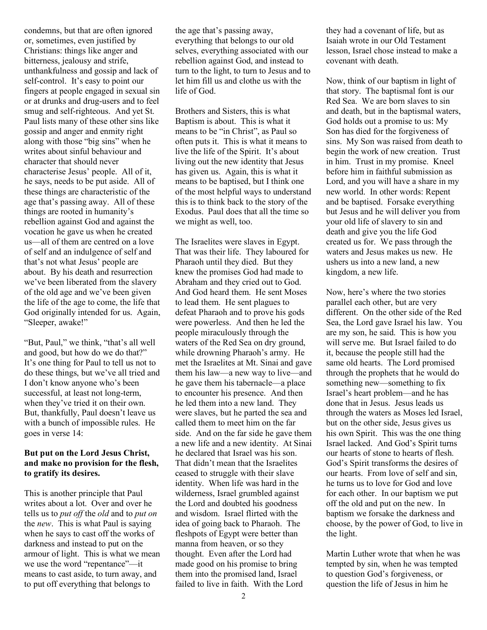condemns, but that are often ignored or, sometimes, even justified by Christians: things like anger and bitterness, jealousy and strife, unthankfulness and gossip and lack of self-control. It's easy to point our fingers at people engaged in sexual sin or at drunks and drug-users and to feel smug and self-righteous. And yet St. Paul lists many of these other sins like gossip and anger and enmity right along with those "big sins" when he writes about sinful behaviour and character that should never characterise Jesus' people. All of it, he says, needs to be put aside. All of these things are characteristic of the age that's passing away. All of these things are rooted in humanity's rebellion against God and against the vocation he gave us when he created us—all of them are centred on a love of self and an indulgence of self and that's not what Jesus' people are about. By his death and resurrection we've been liberated from the slavery of the old age and we've been given the life of the age to come, the life that God originally intended for us. Again, "Sleeper, awake!"

"But, Paul," we think, "that's all well and good, but how do we do that?" It's one thing for Paul to tell us not to do these things, but we've all tried and I don't know anyone who's been successful, at least not long-term, when they've tried it on their own. But, thankfully, Paul doesn't leave us with a bunch of impossible rules. He goes in verse 14:

## **But put on the Lord Jesus Christ, and make no provision for the flesh, to gratify its desires.**

This is another principle that Paul writes about a lot. Over and over he tells us to *put off* the *old* and to *put on* the *new*. This is what Paul is saying when he says to cast off the works of darkness and instead to put on the armour of light. This is what we mean we use the word "repentance"—it means to cast aside, to turn away, and to put off everything that belongs to

the age that's passing away, everything that belongs to our old selves, everything associated with our rebellion against God, and instead to turn to the light, to turn to Jesus and to let him fill us and clothe us with the life of God.

Brothers and Sisters, this is what Baptism is about. This is what it means to be "in Christ", as Paul so often puts it. This is what it means to live the life of the Spirit. It's about living out the new identity that Jesus has given us. Again, this is what it means to be baptised, but I think one of the most helpful ways to understand this is to think back to the story of the Exodus. Paul does that all the time so we might as well, too.

The Israelites were slaves in Egypt. That was their life. They laboured for Pharaoh until they died. But they knew the promises God had made to Abraham and they cried out to God. And God heard them. He sent Moses to lead them. He sent plagues to defeat Pharaoh and to prove his gods were powerless. And then he led the people miraculously through the waters of the Red Sea on dry ground, while drowning Pharaoh's army. He met the Israelites at Mt. Sinai and gave them his law—a new way to live—and he gave them his tabernacle—a place to encounter his presence. And then he led them into a new land. They were slaves, but he parted the sea and called them to meet him on the far side. And on the far side he gave them a new life and a new identity. At Sinai he declared that Israel was his son. That didn't mean that the Israelites ceased to struggle with their slave identity. When life was hard in the wilderness, Israel grumbled against the Lord and doubted his goodness and wisdom. Israel flirted with the idea of going back to Pharaoh. The fleshpots of Egypt were better than manna from heaven, or so they thought. Even after the Lord had made good on his promise to bring them into the promised land, Israel failed to live in faith. With the Lord

they had a covenant of life, but as Isaiah wrote in our Old Testament lesson, Israel chose instead to make a covenant with death.

Now, think of our baptism in light of that story. The baptismal font is our Red Sea. We are born slaves to sin and death, but in the baptismal waters, God holds out a promise to us: My Son has died for the forgiveness of sins. My Son was raised from death to begin the work of new creation. Trust in him. Trust in my promise. Kneel before him in faithful submission as Lord, and you will have a share in my new world. In other words: Repent and be baptised. Forsake everything but Jesus and he will deliver you from your old life of slavery to sin and death and give you the life God created us for. We pass through the waters and Jesus makes us new. He ushers us into a new land, a new kingdom, a new life.

Now, here's where the two stories parallel each other, but are very different. On the other side of the Red Sea, the Lord gave Israel his law. You are my son, he said. This is how you will serve me. But Israel failed to do it, because the people still had the same old hearts. The Lord promised through the prophets that he would do something new—something to fix Israel's heart problem—and he has done that in Jesus. Jesus leads us through the waters as Moses led Israel, but on the other side, Jesus gives us his own Spirit. This was the one thing Israel lacked. And God's Spirit turns our hearts of stone to hearts of flesh. God's Spirit transforms the desires of our hearts. From love of self and sin, he turns us to love for God and love for each other. In our baptism we put off the old and put on the new. In baptism we forsake the darkness and choose, by the power of God, to live in the light.

Martin Luther wrote that when he was tempted by sin, when he was tempted to question God's forgiveness, or question the life of Jesus in him he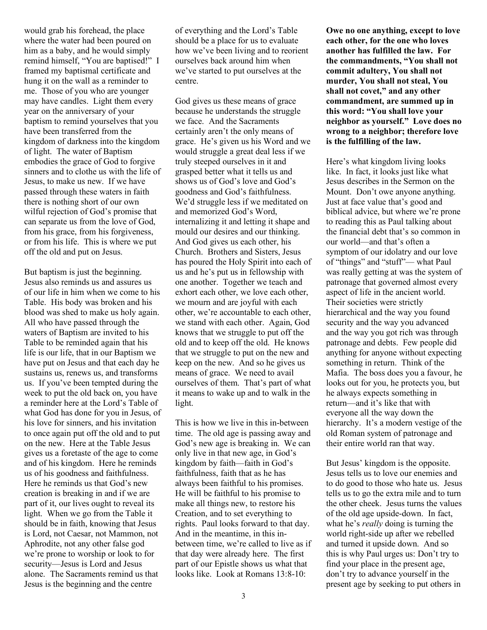would grab his forehead, the place where the water had been poured on him as a baby, and he would simply remind himself, "You are baptised!" I framed my baptismal certificate and hung it on the wall as a reminder to me. Those of you who are younger may have candles. Light them every year on the anniversary of your baptism to remind yourselves that you have been transferred from the kingdom of darkness into the kingdom of light. The water of Baptism embodies the grace of God to forgive sinners and to clothe us with the life of Jesus, to make us new. If we have passed through these waters in faith there is nothing short of our own wilful rejection of God's promise that can separate us from the love of God, from his grace, from his forgiveness, or from his life. This is where we put off the old and put on Jesus.

But baptism is just the beginning. Jesus also reminds us and assures us of our life in him when we come to his Table. His body was broken and his blood was shed to make us holy again. All who have passed through the waters of Baptism are invited to his Table to be reminded again that his life is our life, that in our Baptism we have put on Jesus and that each day he sustains us, renews us, and transforms us. If you've been tempted during the week to put the old back on, you have a reminder here at the Lord's Table of what God has done for you in Jesus, of his love for sinners, and his invitation to once again put off the old and to put on the new. Here at the Table Jesus gives us a foretaste of the age to come and of his kingdom. Here he reminds us of his goodness and faithfulness. Here he reminds us that God's new creation is breaking in and if we are part of it, our lives ought to reveal its light. When we go from the Table it should be in faith, knowing that Jesus is Lord, not Caesar, not Mammon, not Aphrodite, not any other false god we're prone to worship or look to for security—Jesus is Lord and Jesus alone. The Sacraments remind us that Jesus is the beginning and the centre

of everything and the Lord's Table should be a place for us to evaluate how we've been living and to reorient ourselves back around him when we've started to put ourselves at the centre.

God gives us these means of grace because he understands the struggle we face. And the Sacraments certainly aren't the only means of grace. He's given us his Word and we would struggle a great deal less if we truly steeped ourselves in it and grasped better what it tells us and shows us of God's love and God's goodness and God's faithfulness. We'd struggle less if we meditated on and memorized God's Word, internalizing it and letting it shape and mould our desires and our thinking. And God gives us each other, his Church. Brothers and Sisters, Jesus has poured the Holy Spirit into each of us and he's put us in fellowship with one another. Together we teach and exhort each other, we love each other, we mourn and are joyful with each other, we're accountable to each other, we stand with each other. Again, God knows that we struggle to put off the old and to keep off the old. He knows that we struggle to put on the new and keep on the new. And so he gives us means of grace. We need to avail ourselves of them. That's part of what it means to wake up and to walk in the light.

This is how we live in this in-between time. The old age is passing away and God's new age is breaking in. We can only live in that new age, in God's kingdom by faith—faith in God's faithfulness, faith that as he has always been faithful to his promises. He will be faithful to his promise to make all things new, to restore his Creation, and to set everything to rights. Paul looks forward to that day. And in the meantime, in this inbetween time, we're called to live as if that day were already here. The first part of our Epistle shows us what that looks like. Look at Romans 13:8-10:

**Owe no one anything, except to love each other, for the one who loves another has fulfilled the law. For the commandments, "You shall not commit adultery, You shall not murder, You shall not steal, You shall not covet," and any other commandment, are summed up in this word: "You shall love your neighbor as yourself." Love does no wrong to a neighbor; therefore love is the fulfilling of the law.**

Here's what kingdom living looks like. In fact, it looks just like what Jesus describes in the Sermon on the Mount. Don't owe anyone anything. Just at face value that's good and biblical advice, but where we're prone to reading this as Paul talking about the financial debt that's so common in our world—and that's often a symptom of our idolatry and our love of "things" and "stuff"— what Paul was really getting at was the system of patronage that governed almost every aspect of life in the ancient world. Their societies were strictly hierarchical and the way you found security and the way you advanced and the way you got rich was through patronage and debts. Few people did anything for anyone without expecting something in return. Think of the Mafia. The boss does you a favour, he looks out for you, he protects you, but he always expects something in return—and it's like that with everyone all the way down the hierarchy. It's a modern vestige of the old Roman system of patronage and their entire world ran that way.

But Jesus' kingdom is the opposite. Jesus tells us to love our enemies and to do good to those who hate us. Jesus tells us to go the extra mile and to turn the other cheek. Jesus turns the values of the old age upside-down. In fact, what he's *really* doing is turning the world right-side up after we rebelled and turned it upside down. And so this is why Paul urges us: Don't try to find your place in the present age, don't try to advance yourself in the present age by seeking to put others in